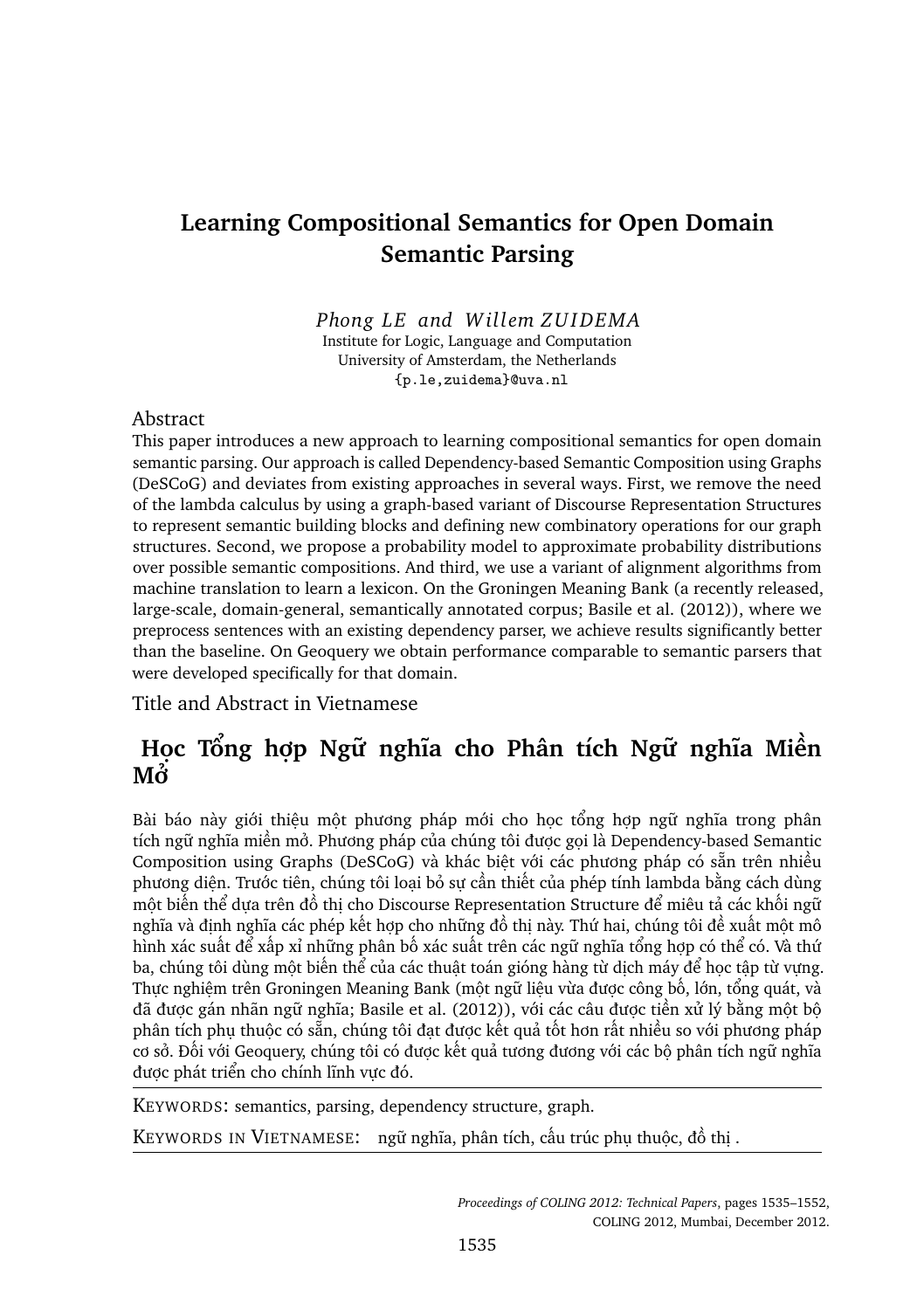# **Learning Compositional Semantics for Open Domain Semantic Parsing**

#### *Phong LE and Willem ZU I DEMA*

Institute for Logic, Language and Computation University of Amsterdam, the Netherlands {p.le,zuidema}@uva.nl

#### Abstract

This paper introduces a new approach to learning compositional semantics for open domain semantic parsing. Our approach is called Dependency-based Semantic Composition using Graphs (DeSCoG) and deviates from existing approaches in several ways. First, we remove the need of the lambda calculus by using a graph-based variant of Discourse Representation Structures to represent semantic building blocks and defining new combinatory operations for our graph structures. Second, we propose a probability model to approximate probability distributions over possible semantic compositions. And third, we use a variant of alignment algorithms from machine translation to learn a lexicon. On the Groningen Meaning Bank (a recently released, large-scale, domain-general, semantically annotated corpus; Basile et al. (2012)), where we preprocess sentences with an existing dependency parser, we achieve results significantly better than the baseline. On Geoquery we obtain performance comparable to semantic parsers that were developed specifically for that domain.

Title and Abstract in Vietnamese

# **Học Tổng hợp Ngữ nghĩa cho Phân tích Ngữ nghĩa Miền Mở**

Bài báo này giới thiệu một phương pháp mới cho học tổng hợp ngữ nghĩa trong phân tích ngữ nghĩa miền mở. Phương pháp của chúng tôi được gọi là Dependency-based Semantic Composition using Graphs (DeSCoG) và khác biệt với các phương pháp có sẵn trên nhiều phương diện. Trước tiên, chúng tôi loại bỏ sự cần thiết của phép tính lambda bằng cách dùng một biến thể dựa trên đồ thị cho Discourse Representation Structure để miêu tả các khối ngữ nghĩa và định nghĩa các phép kết hợp cho những đồ thị này. Thứ hai, chúng tôi đề xuất một mô hình xác suất để xấp xỉ những phân bố xác suất trên các ngữ nghĩa tổng hợp có thể có. Và thứ ba, chúng tôi dùng một biến thể của các thuật toán gióng hàng từ dịch máy để học tập từ vựng. Thực nghiệm trên Groningen Meaning Bank (một ngữ liệu vừa được công bố, lớn, tổng quát, và đã được gán nhãn ngữ nghĩa; Basile et al. (2012)), với các câu được tiền xử lý bằng một bộ phân tích phụ thuộc có sẵn, chúng tôi đạt được kết quả tốt hơn rất nhiều so với phương pháp cơ sở. Đối với Geoquery, chúng tôi có được kết quả tương đương với các bộ phân tích ngữ nghĩa được phát triển cho chính lĩnh vực đó.

KEYWORDS: semantics, parsing, dependency structure, graph.

KEYWORDS IN VIETNAMESE: ngữ nghĩa, phân tích, cấu trúc phụ thuộc, đồ thị .

*Proceedings of COLING 2012: Technical Papers*, pages 1535–1552, COLING 2012, Mumbai, December 2012.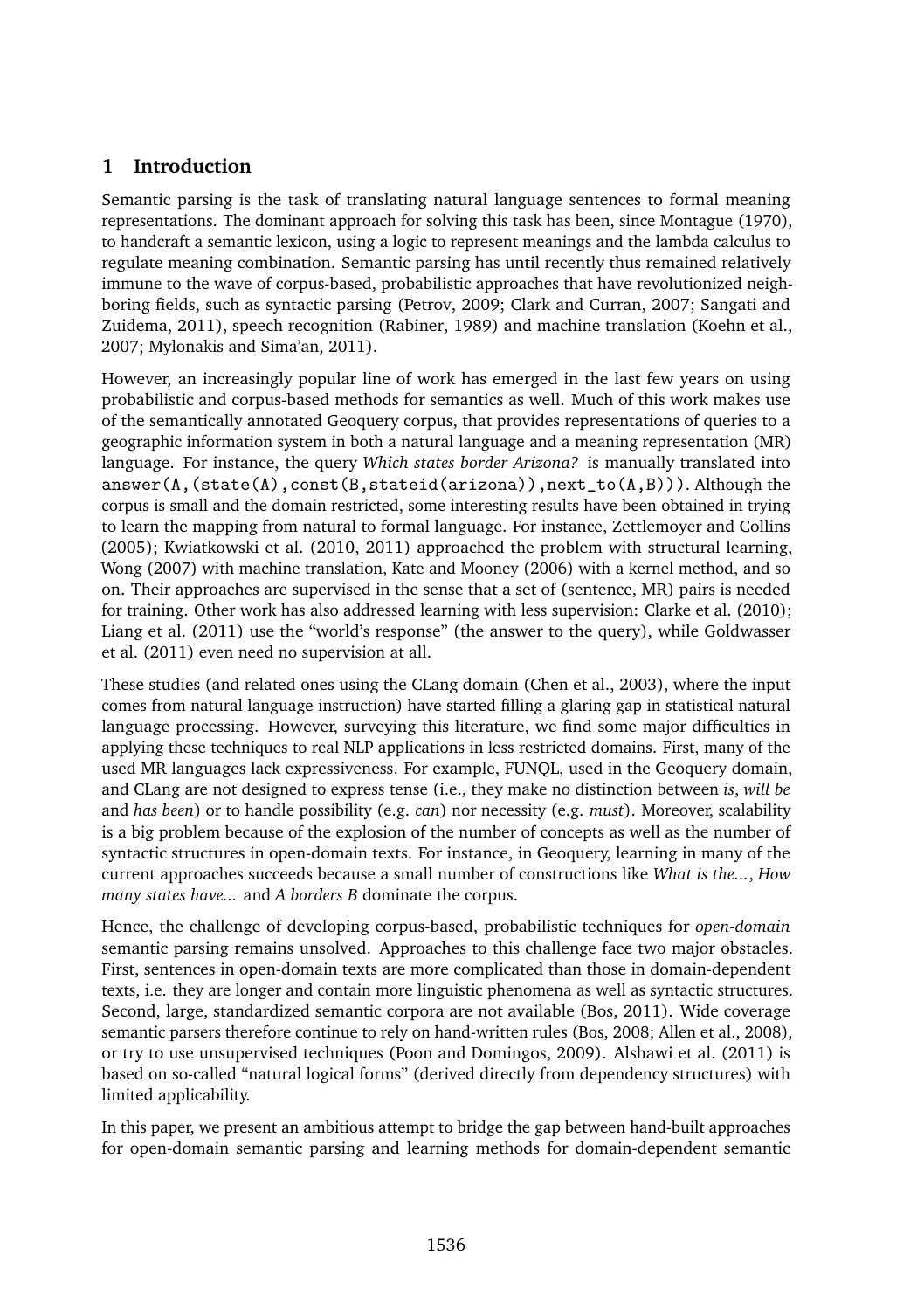# **1 Introduction**

Semantic parsing is the task of translating natural language sentences to formal meaning representations. The dominant approach for solving this task has been, since Montague (1970), to handcraft a semantic lexicon, using a logic to represent meanings and the lambda calculus to regulate meaning combination. Semantic parsing has until recently thus remained relatively immune to the wave of corpus-based, probabilistic approaches that have revolutionized neighboring fields, such as syntactic parsing (Petrov, 2009; Clark and Curran, 2007; Sangati and Zuidema, 2011), speech recognition (Rabiner, 1989) and machine translation (Koehn et al., 2007; Mylonakis and Sima'an, 2011).

However, an increasingly popular line of work has emerged in the last few years on using probabilistic and corpus-based methods for semantics as well. Much of this work makes use of the semantically annotated Geoquery corpus, that provides representations of queries to a geographic information system in both a natural language and a meaning representation (MR) language. For instance, the query *Which states border Arizona?* is manually translated into answer(A,(state(A),const(B,stateid(arizona)),next\_to(A,B))). Although the corpus is small and the domain restricted, some interesting results have been obtained in trying to learn the mapping from natural to formal language. For instance, Zettlemoyer and Collins (2005); Kwiatkowski et al. (2010, 2011) approached the problem with structural learning, Wong (2007) with machine translation, Kate and Mooney (2006) with a kernel method, and so on. Their approaches are supervised in the sense that a set of (sentence, MR) pairs is needed for training. Other work has also addressed learning with less supervision: Clarke et al. (2010); Liang et al. (2011) use the "world's response" (the answer to the query), while Goldwasser et al. (2011) even need no supervision at all.

These studies (and related ones using the CLang domain (Chen et al., 2003), where the input comes from natural language instruction) have started filling a glaring gap in statistical natural language processing. However, surveying this literature, we find some major difficulties in applying these techniques to real NLP applications in less restricted domains. First, many of the used MR languages lack expressiveness. For example, FUNQL, used in the Geoquery domain, and CLang are not designed to express tense (i.e., they make no distinction between *is*, *will be* and *has been*) or to handle possibility (e.g. *can*) nor necessity (e.g. *must*). Moreover, scalability is a big problem because of the explosion of the number of concepts as well as the number of syntactic structures in open-domain texts. For instance, in Geoquery, learning in many of the current approaches succeeds because a small number of constructions like *What is the...*, *How many states have...* and *A borders B* dominate the corpus.

Hence, the challenge of developing corpus-based, probabilistic techniques for *open-domain* semantic parsing remains unsolved. Approaches to this challenge face two major obstacles. First, sentences in open-domain texts are more complicated than those in domain-dependent texts, i.e. they are longer and contain more linguistic phenomena as well as syntactic structures. Second, large, standardized semantic corpora are not available (Bos, 2011). Wide coverage semantic parsers therefore continue to rely on hand-written rules (Bos, 2008; Allen et al., 2008), or try to use unsupervised techniques (Poon and Domingos, 2009). Alshawi et al. (2011) is based on so-called "natural logical forms" (derived directly from dependency structures) with limited applicability.

In this paper, we present an ambitious attempt to bridge the gap between hand-built approaches for open-domain semantic parsing and learning methods for domain-dependent semantic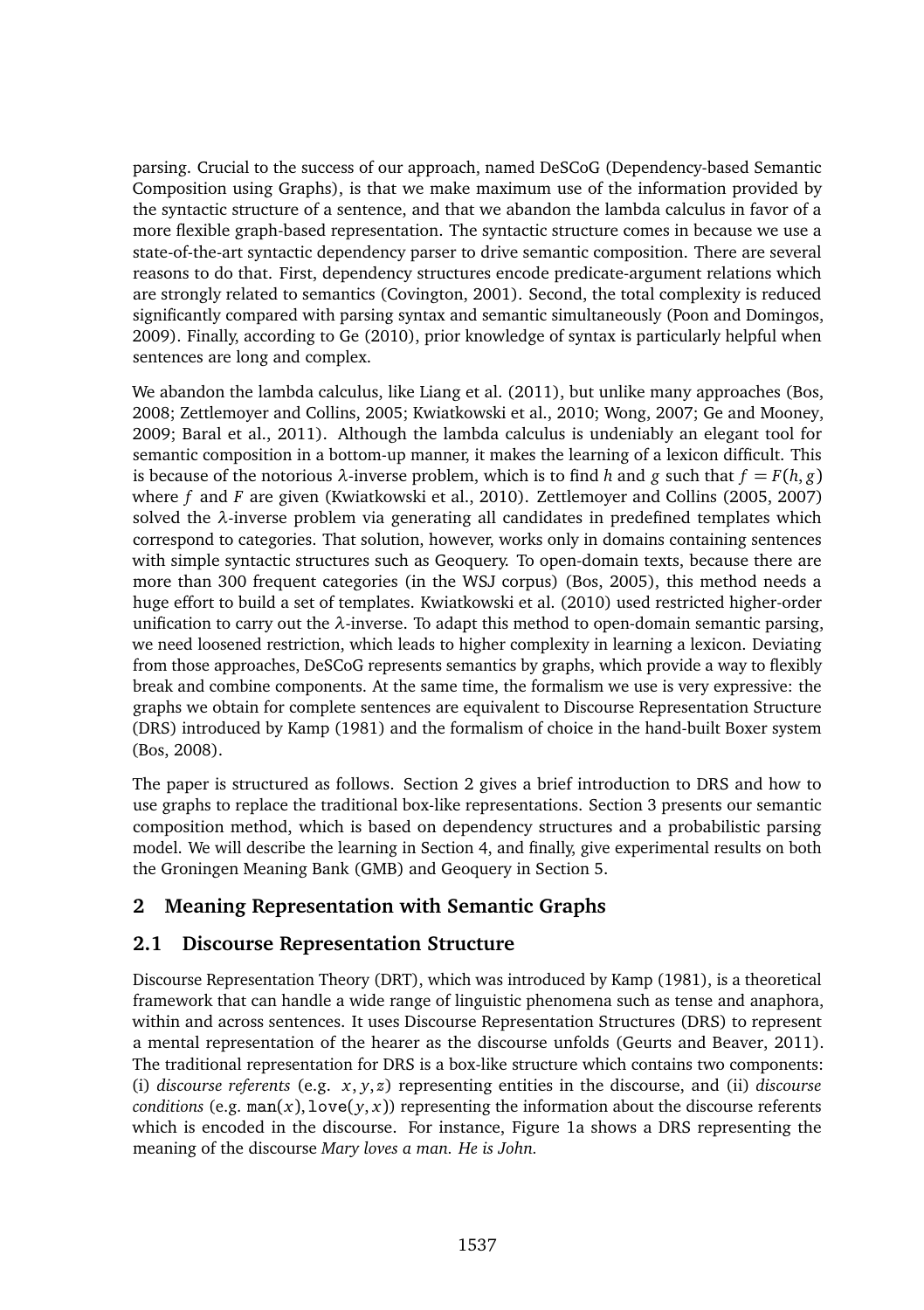parsing. Crucial to the success of our approach, named DeSCoG (Dependency-based Semantic Composition using Graphs), is that we make maximum use of the information provided by the syntactic structure of a sentence, and that we abandon the lambda calculus in favor of a more flexible graph-based representation. The syntactic structure comes in because we use a state-of-the-art syntactic dependency parser to drive semantic composition. There are several reasons to do that. First, dependency structures encode predicate-argument relations which are strongly related to semantics (Covington, 2001). Second, the total complexity is reduced significantly compared with parsing syntax and semantic simultaneously (Poon and Domingos, 2009). Finally, according to Ge (2010), prior knowledge of syntax is particularly helpful when sentences are long and complex.

We abandon the lambda calculus, like Liang et al. (2011), but unlike many approaches (Bos, 2008; Zettlemoyer and Collins, 2005; Kwiatkowski et al., 2010; Wong, 2007; Ge and Mooney, 2009; Baral et al., 2011). Although the lambda calculus is undeniably an elegant tool for semantic composition in a bottom-up manner, it makes the learning of a lexicon difficult. This is because of the notorious  $\lambda$ -inverse problem, which is to find *h* and *g* such that  $f = F(h, g)$ where *f* and *F* are given (Kwiatkowski et al., 2010). Zettlemoyer and Collins (2005, 2007) solved the *λ*-inverse problem via generating all candidates in predefined templates which correspond to categories. That solution, however, works only in domains containing sentences with simple syntactic structures such as Geoquery. To open-domain texts, because there are more than 300 frequent categories (in the WSJ corpus) (Bos, 2005), this method needs a huge effort to build a set of templates. Kwiatkowski et al. (2010) used restricted higher-order unification to carry out the *λ*-inverse. To adapt this method to open-domain semantic parsing, we need loosened restriction, which leads to higher complexity in learning a lexicon. Deviating from those approaches, DeSCoG represents semantics by graphs, which provide a way to flexibly break and combine components. At the same time, the formalism we use is very expressive: the graphs we obtain for complete sentences are equivalent to Discourse Representation Structure (DRS) introduced by Kamp (1981) and the formalism of choice in the hand-built Boxer system (Bos, 2008).

The paper is structured as follows. Section 2 gives a brief introduction to DRS and how to use graphs to replace the traditional box-like representations. Section 3 presents our semantic composition method, which is based on dependency structures and a probabilistic parsing model. We will describe the learning in Section 4, and finally, give experimental results on both the Groningen Meaning Bank (GMB) and Geoquery in Section 5.

# **2 Meaning Representation with Semantic Graphs**

## **2.1 Discourse Representation Structure**

Discourse Representation Theory (DRT), which was introduced by Kamp (1981), is a theoretical framework that can handle a wide range of linguistic phenomena such as tense and anaphora, within and across sentences. It uses Discourse Representation Structures (DRS) to represent a mental representation of the hearer as the discourse unfolds (Geurts and Beaver, 2011). The traditional representation for DRS is a box-like structure which contains two components: (i) *discourse referents* (e.g. *x*, *y*, *z*) representing entities in the discourse, and (ii) *discourse conditions* (e.g.  $\text{man}(x)$ ,  $\text{love}(y, x)$ ) representing the information about the discourse referents which is encoded in the discourse. For instance, Figure 1a shows a DRS representing the meaning of the discourse *Mary loves a man. He is John.*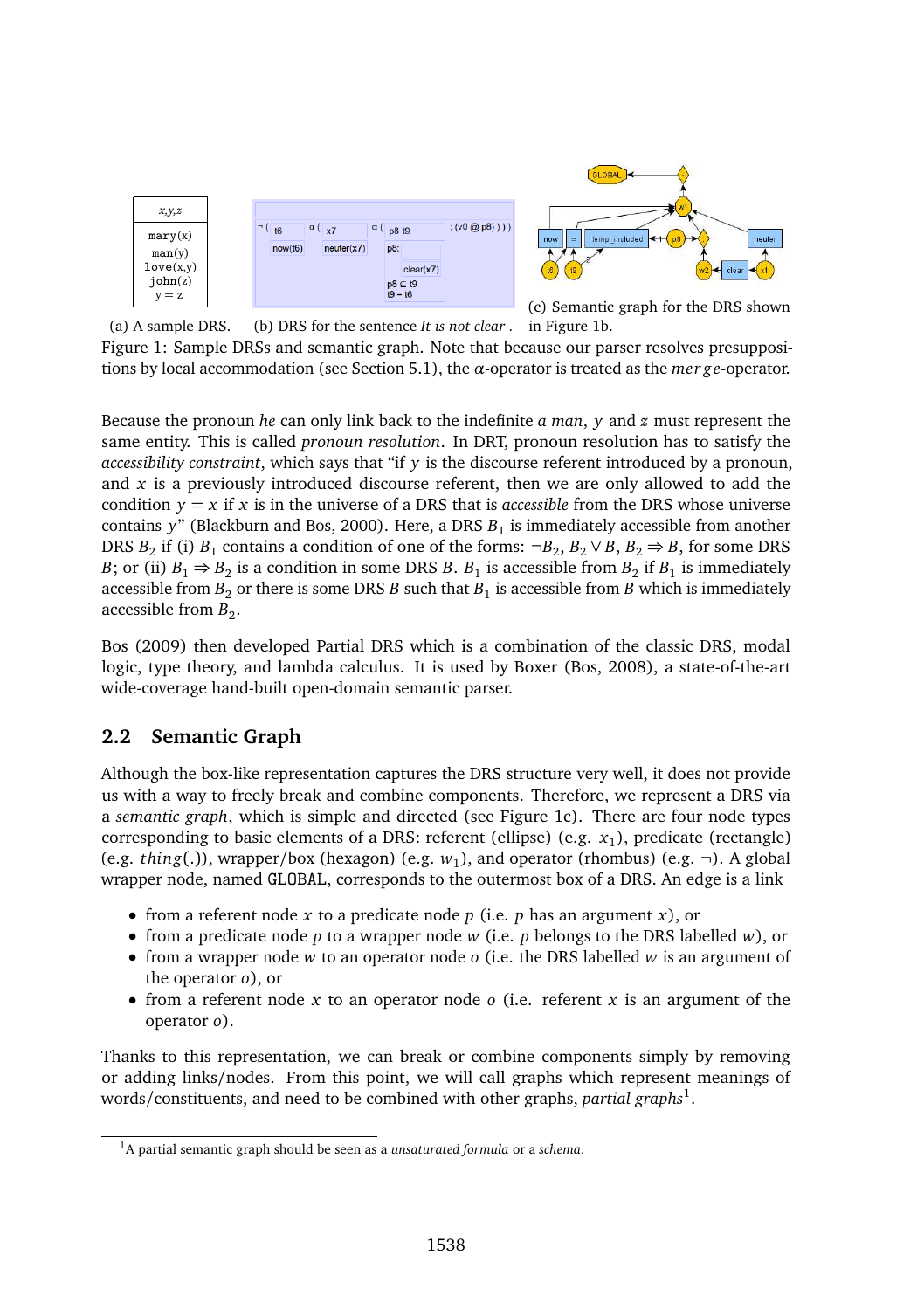

(a) A sample DRS. (b) DRS for the sentence *It is not clear .* in Figure 1b. Figure 1: Sample DRSs and semantic graph. Note that because our parser resolves presuppositions by local accommodation (see Section 5.1), the *α*-operator is treated as the *mer ge*-operator.

Because the pronoun *he* can only link back to the indefinite *a man*, *y* and *z* must represent the same entity. This is called *pronoun resolution*. In DRT, pronoun resolution has to satisfy the *accessibility constraint*, which says that "if *y* is the discourse referent introduced by a pronoun, and *x* is a previously introduced discourse referent, then we are only allowed to add the condition  $y = x$  if x is in the universe of a DRS that is *accessible* from the DRS whose universe contains y" (Blackburn and Bos, 2000). Here, a DRS  $B_1$  is immediately accessible from another DRS  $B_2$  if (i)  $B_1$  contains a condition of one of the forms:  $\neg B_2$ ,  $B_2 \lor B$ ,  $B_2 \Rightarrow B$ , for some DRS *B*; or (ii)  $B_1 \Rightarrow B_2$  is a condition in some DRS *B*.  $B_1$  is accessible from  $B_2$  if  $B_1$  is immediately accessible from  $B_2$  or there is some DRS  $B$  such that  $B_1$  is accessible from  $B$  which is immediately accessible from  $B_2$ .

Bos (2009) then developed Partial DRS which is a combination of the classic DRS, modal logic, type theory, and lambda calculus. It is used by Boxer (Bos, 2008), a state-of-the-art wide-coverage hand-built open-domain semantic parser.

### **2.2 Semantic Graph**

Although the box-like representation captures the DRS structure very well, it does not provide us with a way to freely break and combine components. Therefore, we represent a DRS via a *semantic graph*, which is simple and directed (see Figure 1c). There are four node types corresponding to basic elements of a DRS: referent (ellipse) (e.g. *x*1), predicate (rectangle) (e.g. *thing*(.)), wrapper/box (hexagon) (e.g. *w*1), and operator (rhombus) (e.g. ¬). A global wrapper node, named GLOBAL, corresponds to the outermost box of a DRS. An edge is a link

- from a referent node *x* to a predicate node *p* (i.e. *p* has an argument *x*), or
- from a predicate node *p* to a wrapper node *w* (i.e. *p* belongs to the DRS labelled *w*), or
- from a wrapper node *w* to an operator node *o* (i.e. the DRS labelled *w* is an argument of the operator *o*), or
- from a referent node *x* to an operator node *o* (i.e. referent *x* is an argument of the operator *o*).

Thanks to this representation, we can break or combine components simply by removing or adding links/nodes. From this point, we will call graphs which represent meanings of words/constituents, and need to be combined with other graphs, *partial graphs*<sup>1</sup> .

<sup>1</sup>A partial semantic graph should be seen as a *unsaturated formula* or a *schema*.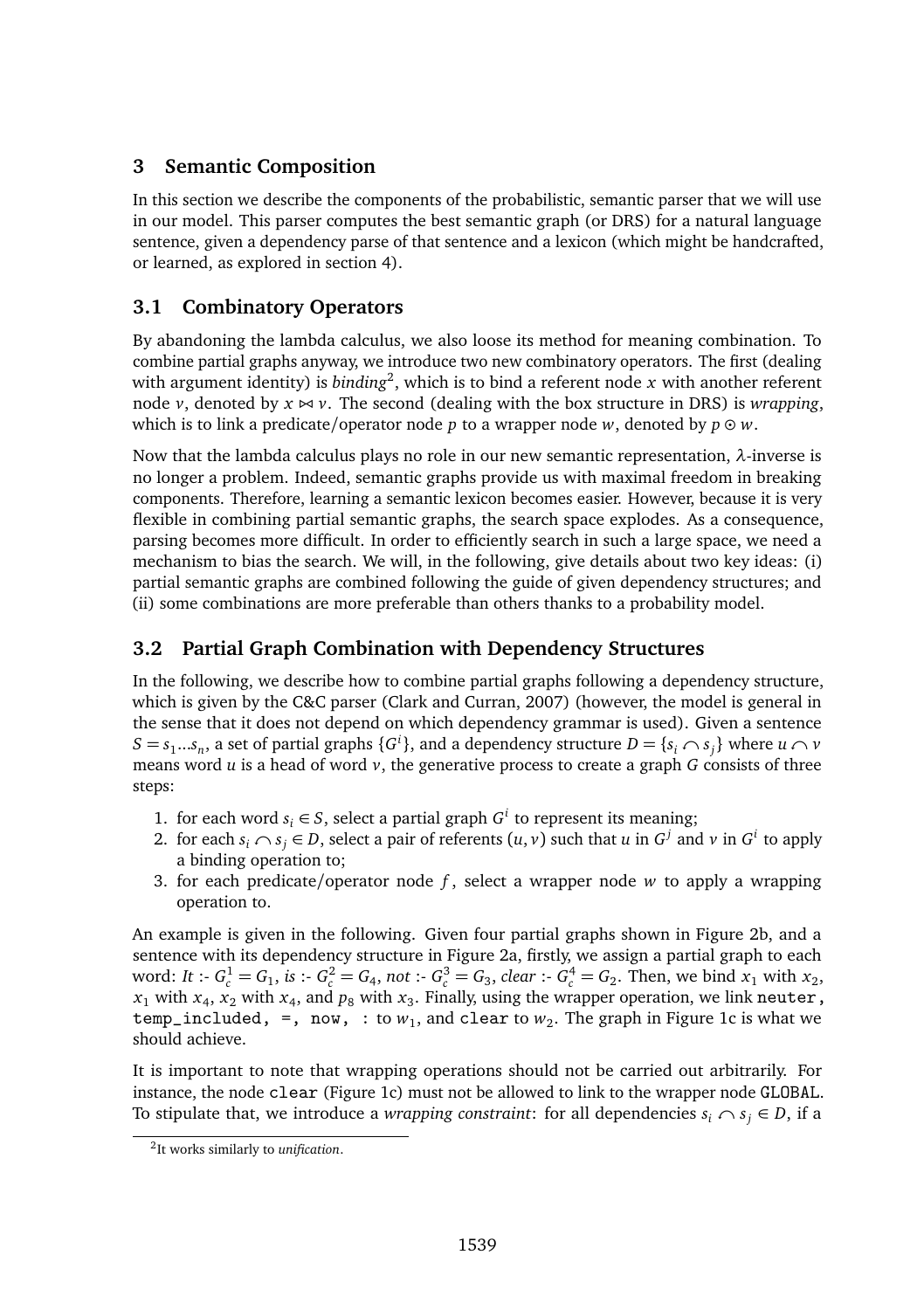## **3 Semantic Composition**

In this section we describe the components of the probabilistic, semantic parser that we will use in our model. This parser computes the best semantic graph (or DRS) for a natural language sentence, given a dependency parse of that sentence and a lexicon (which might be handcrafted, or learned, as explored in section 4).

## **3.1 Combinatory Operators**

By abandoning the lambda calculus, we also loose its method for meaning combination. To combine partial graphs anyway, we introduce two new combinatory operators. The first (dealing with argument identity) is *binding*<sup>2</sup> , which is to bind a referent node *x* with another referent node *v*, denoted by *x ⊲⊳ v*. The second (dealing with the box structure in DRS) is *wrapping*, which is to link a predicate/operator node *p* to a wrapper node *w*, denoted by  $p \odot w$ .

Now that the lambda calculus plays no role in our new semantic representation, *λ*-inverse is no longer a problem. Indeed, semantic graphs provide us with maximal freedom in breaking components. Therefore, learning a semantic lexicon becomes easier. However, because it is very flexible in combining partial semantic graphs, the search space explodes. As a consequence, parsing becomes more difficult. In order to efficiently search in such a large space, we need a mechanism to bias the search. We will, in the following, give details about two key ideas: (i) partial semantic graphs are combined following the guide of given dependency structures; and (ii) some combinations are more preferable than others thanks to a probability model.

## **3.2 Partial Graph Combination with Dependency Structures**

In the following, we describe how to combine partial graphs following a dependency structure, which is given by the C&C parser (Clark and Curran, 2007) (however, the model is general in the sense that it does not depend on which dependency grammar is used). Given a sentence  $S = s_1...s_n$ , a set of partial graphs  $\{G^i\}$ , and a dependency structure  $D = \{s_i \cap s_j\}$  where  $u \cap v$ means word  $u$  is a head of word  $v$ , the generative process to create a graph  $G$  consists of three steps:

- 1. for each word *s*<sup>*i*</sup> ∈ *S*, select a partial graph *G*<sup>*i*</sup> to represent its meaning;
- 2. for each  $s_i \cap s_j \in D$ , select a pair of referents  $(u, v)$  such that *u* in  $G^j$  and *v* in  $G^i$  to apply a binding operation to;
- 3. for each predicate/operator node *f* , select a wrapper node *w* to apply a wrapping operation to.

An example is given in the following. Given four partial graphs shown in Figure 2b, and a sentence with its dependency structure in Figure 2a, firstly, we assign a partial graph to each word: It :-  $G_c^1 = G_1$ , is :-  $G_c^2 = G_4$ , not :-  $G_c^3 = G_3$ , clear :-  $G_c^4 = G_2$ . Then, we bind  $x_1$  with  $x_2$ ,  $x_1$  with  $x_4$ ,  $x_2$  with  $x_4$ , and  $p_8$  with  $x_3$ . Finally, using the wrapper operation, we link neuter,  $temp\_included, =, now, : to w<sub>1</sub>, and clear to w<sub>2</sub>. The graph in Figure 1c is what we$ should achieve.

It is important to note that wrapping operations should not be carried out arbitrarily. For instance, the node clear (Figure 1c) must not be allowed to link to the wrapper node GLOBAL. To stipulate that, we introduce a *wrapping constraint*: for all dependencies  $s_i \cap s_j \in D$ , if a

<sup>2</sup> It works similarly to *unification*.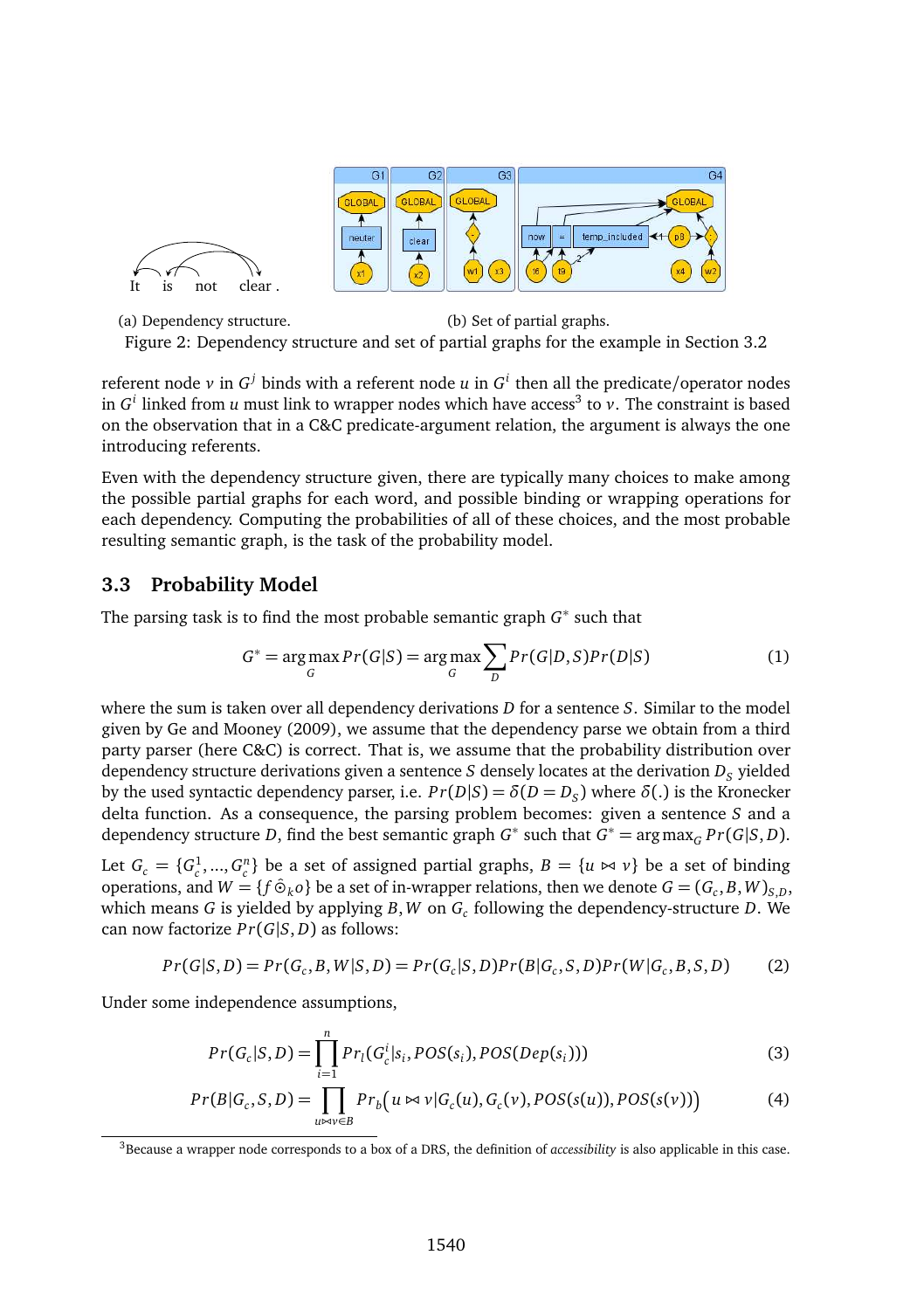

(a) Dependency structure. (b) Set of partial graphs. Figure 2: Dependency structure and set of partial graphs for the example in Section 3.2

referent node  $\nu$  in  $G^j$  binds with a referent node  $u$  in  $G^i$  then all the predicate/operator nodes in  $G^i$  linked from *u* must link to wrapper nodes which have access<sup>3</sup> to *v*. The constraint is based on the observation that in a C&C predicate-argument relation, the argument is always the one introducing referents.

Even with the dependency structure given, there are typically many choices to make among the possible partial graphs for each word, and possible binding or wrapping operations for each dependency. Computing the probabilities of all of these choices, and the most probable resulting semantic graph, is the task of the probability model.

### **3.3 Probability Model**

It is not clear

The parsing task is to find the most probable semantic graph *G* ∗ such that

$$
G^* = \underset{G}{\arg\max} Pr(G|S) = \underset{G}{\arg\max} \sum_{D} Pr(G|D,S)Pr(D|S)
$$
(1)

where the sum is taken over all dependency derivations *D* for a sentence *S*. Similar to the model given by Ge and Mooney (2009), we assume that the dependency parse we obtain from a third party parser (here C&C) is correct. That is, we assume that the probability distribution over dependency structure derivations given a sentence  $S$  densely locates at the derivation  $D_S$  yielded by the used syntactic dependency parser, i.e.  $Pr(D|S) = \delta(D = D_S)$  where  $\delta(.)$  is the Kronecker delta function. As a consequence, the parsing problem becomes: given a sentence *S* and a dependency structure *D*, find the best semantic graph  $G^*$  such that  $G^* = \arg \max_G Pr(G|S, D)$ .

Let  $G_c = \{G_c^1, ..., G_c^n\}$  be a set of assigned partial graphs,  $B = \{u \bowtie v\}$  be a set of binding operations, and  $W = \{f \hat{\Theta}_k o\}$  be a set of in-wrapper relations, then we denote  $G = (G_c, B, W)_{S, D}$ , which means *G* is yielded by applying *B*,*W* on *G<sup>c</sup>* following the dependency-structure *D*. We can now factorize *P r*(*G*|*S*, *D*) as follows:

$$
Pr(G|S,D) = Pr(G_c, B, W|S,D) = Pr(G_c|S,D)Pr(B|G_c, S, D)Pr(W|G_c, B, S, D)
$$
 (2)

Under some independence assumptions,

$$
Pr(G_c|S,D) = \prod_{i=1}^{n} Pr_l(G_c^i|S_i, POS(S_i),POS(Dep(S_i)))
$$
\n(3)

$$
Pr(B|G_c, S, D) = \prod_{u \bowtie v \in B} Pr_b(u \bowtie v|G_c(u), G_c(v), POS(s(u)), POS(s(v)))
$$
\n(4)

<sup>3</sup>Because a wrapper node corresponds to a box of a DRS, the definition of *accessibility* is also applicable in this case.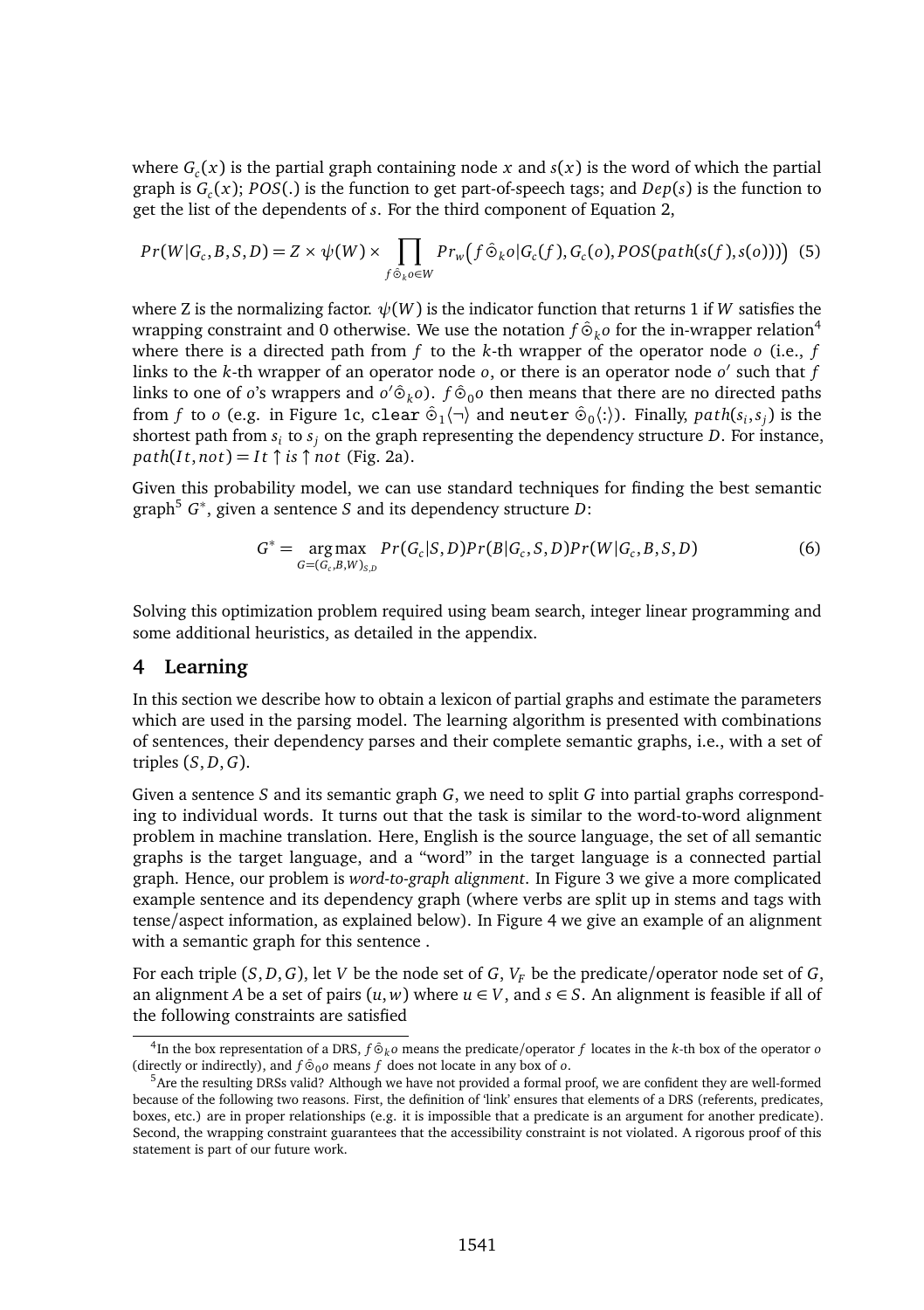where  $G<sub>c</sub>(x)$  is the partial graph containing node x and  $s(x)$  is the word of which the partial graph is  $G<sub>c</sub>(x)$ ; *POS*(.) is the function to get part-of-speech tags; and *Dep*(*s*) is the function to get the list of the dependents of *s*. For the third component of Equation 2,

$$
Pr(W|G_c, B, S, D) = Z \times \psi(W) \times \prod_{f \hat{\Theta}_k o \in W} Pr_w(f \hat{\Theta}_k o | G_c(f), G_c(o), POS(path(s(f), s(o)))) \tag{5}
$$

where Z is the normalizing factor.  $\psi(W)$  is the indicator function that returns 1 if W satisfies the wrapping constraint and 0 otherwise. We use the notation  $f \hat{\varphi}_k o$  for the in-wrapper relation<sup>4</sup> where there is a directed path from *f* to the *k*-th wrapper of the operator node *o* (i.e., *f* links to the *k*-th wrapper of an operator node *o*, or there is an operator node *o'* such that *f* links to one of *o*'s wrappers and  $o' \hat{\Theta}_k o$ . *f*  $\hat{\Theta}_0 o$  then means that there are no directed paths from *f* to *o* (e.g. in Figure 1c, clear  $\hat{\Theta}_1(\neg)$  and neuter  $\hat{\Theta}_0(\cdot)$ ). Finally,  $path(s_i, s_j)$  is the shortest path from *s<sup>i</sup>* to *s<sup>j</sup>* on the graph representing the dependency structure *D*. For instance,  $path(It, not) = It \uparrow is \uparrow not$  (Fig. 2a).

Given this probability model, we can use standard techniques for finding the best semantic graph<sup>5</sup> *G* ∗ , given a sentence *S* and its dependency structure *D*:

$$
G^* = \underset{G=(G_c,B,W)_{S,D}}{\arg \max} Pr(G_c|S,D)Pr(B|G_c,S,D)Pr(W|G_c,B,S,D)
$$
(6)

Solving this optimization problem required using beam search, integer linear programming and some additional heuristics, as detailed in the appendix.

#### **4 Learning**

In this section we describe how to obtain a lexicon of partial graphs and estimate the parameters which are used in the parsing model. The learning algorithm is presented with combinations of sentences, their dependency parses and their complete semantic graphs, i.e., with a set of triples (*S*, *D*,*G*).

Given a sentence *S* and its semantic graph *G*, we need to split *G* into partial graphs corresponding to individual words. It turns out that the task is similar to the word-to-word alignment problem in machine translation. Here, English is the source language, the set of all semantic graphs is the target language, and a "word" in the target language is a connected partial graph. Hence, our problem is *word-to-graph alignment*. In Figure 3 we give a more complicated example sentence and its dependency graph (where verbs are split up in stems and tags with tense/aspect information, as explained below). In Figure 4 we give an example of an alignment with a semantic graph for this sentence .

For each triple  $(S, D, G)$ , let *V* be the node set of *G*,  $V_F$  be the predicate/operator node set of *G*, an alignment *A* be a set of pairs  $(u, w)$  where  $u \in V$ , and  $s \in S$ . An alignment is feasible if all of the following constraints are satisfied

<sup>&</sup>lt;sup>4</sup>In the box representation of a DRS, *f* ⊙<sup>*k*</sup> *o* means the predicate/operator *f* locates in the *k*-th box of the operator *o* (directly or indirectly), and  $f \hat{\Theta}_0$  means  $f$  does not locate in any box of  $o$ .

<sup>5</sup>Are the resulting DRSs valid? Although we have not provided a formal proof, we are confident they are well-formed because of the following two reasons. First, the definition of 'link' ensures that elements of a DRS (referents, predicates, boxes, etc.) are in proper relationships (e.g. it is impossible that a predicate is an argument for another predicate). Second, the wrapping constraint guarantees that the accessibility constraint is not violated. A rigorous proof of this statement is part of our future work.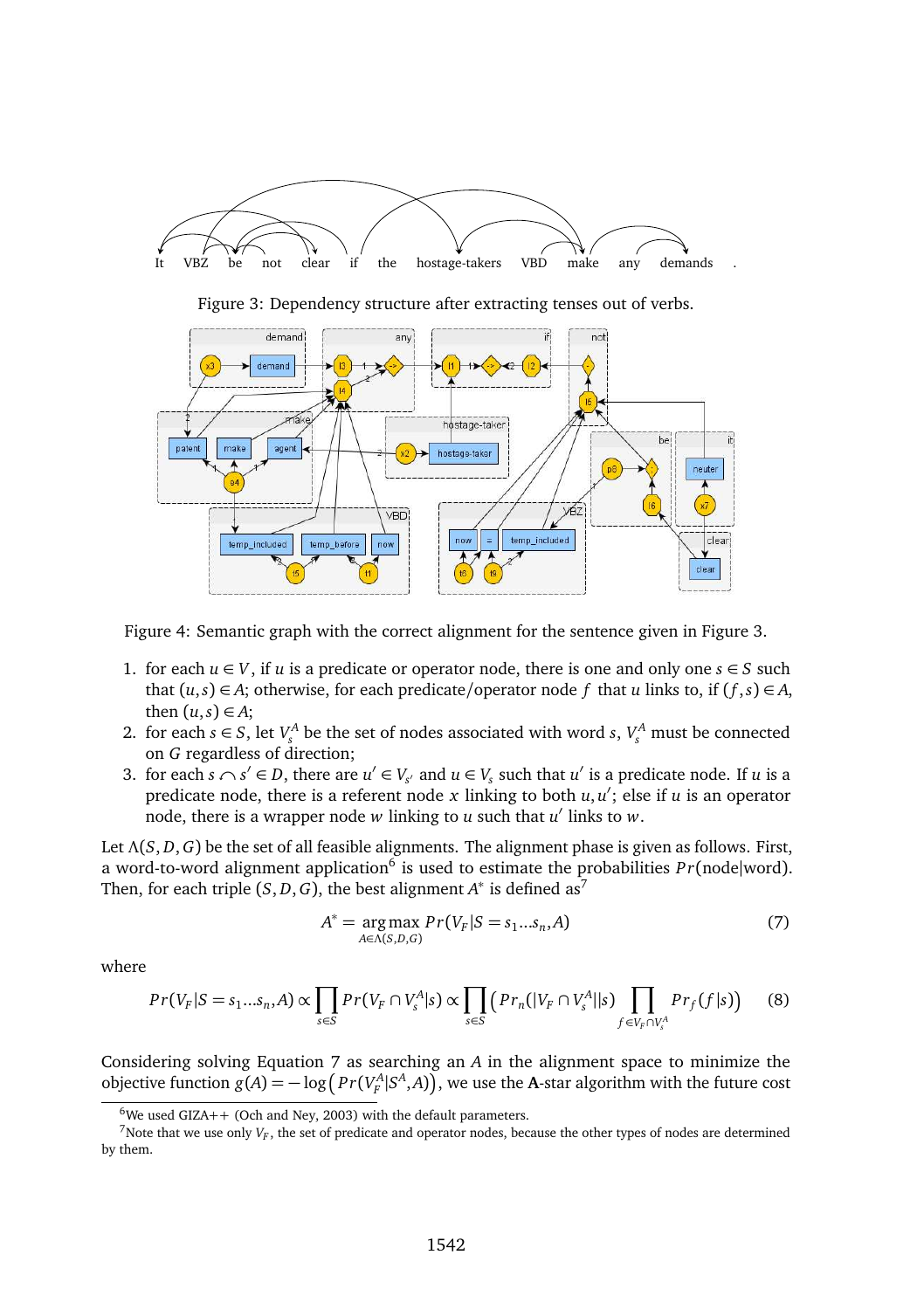

Figure 4: Semantic graph with the correct alignment for the sentence given in Figure 3.

- 1. for each *u* ∈ *V*, if *u* is a predicate or operator node, there is one and only one *s* ∈ *S* such that  $(u, s) \in A$ ; otherwise, for each predicate/operator node f that *u* links to, if  $(f, s) \in A$ , then  $(u, s) \in A$ ;
- 2. for each  $s \in S$ , let  $V_A^A$  be the set of nodes associated with word  $s$ ,  $V_s^A$  must be connected *s* on *G* regardless of direction;
- 3. for each  $s \cap s' \in D$ , there are  $u' \in V_{s'}$  and  $u \in V_s$  such that  $u'$  is a predicate node. If *u* is a predicate node, there is a referent node *x* linking to both *u*, *u* ′ ; else if *u* is an operator node, there is a wrapper node *w* linking to *u* such that *u* ′ links to *w*.

Let Λ(*S*, *D*,*G*) be the set of all feasible alignments. The alignment phase is given as follows. First, a word-to-word alignment application<sup>6</sup> is used to estimate the probabilities  $Pr(\text{node}| \text{word})$ . Then, for each triple  $(S, D, G)$ , the best alignment  $A^*$  is defined as<sup>7</sup>

$$
A^* = \underset{A \in \Lambda(S, D, G)}{\arg \max} Pr(V_F | S = s_1...s_n, A)
$$
\n<sup>(7)</sup>

where

$$
Pr(V_F|S=s_1...s_n,A) \propto \prod_{s\in S} Pr(V_F \cap V_s^A|s) \propto \prod_{s\in S} \left( Pr_n(|V_F \cap V_s^A||s) \prod_{f \in V_F \cap V_s^A} Pr_f(f|s) \right) \tag{8}
$$

Considering solving Equation 7 as searching an *A* in the alignment space to minimize the objective function  $g(A) = -\log (Pr(V_F^A|S^A, A))$ , we use the **A**-star algorithm with the future cost

 $6$ We used GIZA++ (Och and Ney, 2003) with the default parameters.

<sup>&</sup>lt;sup>7</sup> Note that we use only  $V_F$ , the set of predicate and operator nodes, because the other types of nodes are determined by them.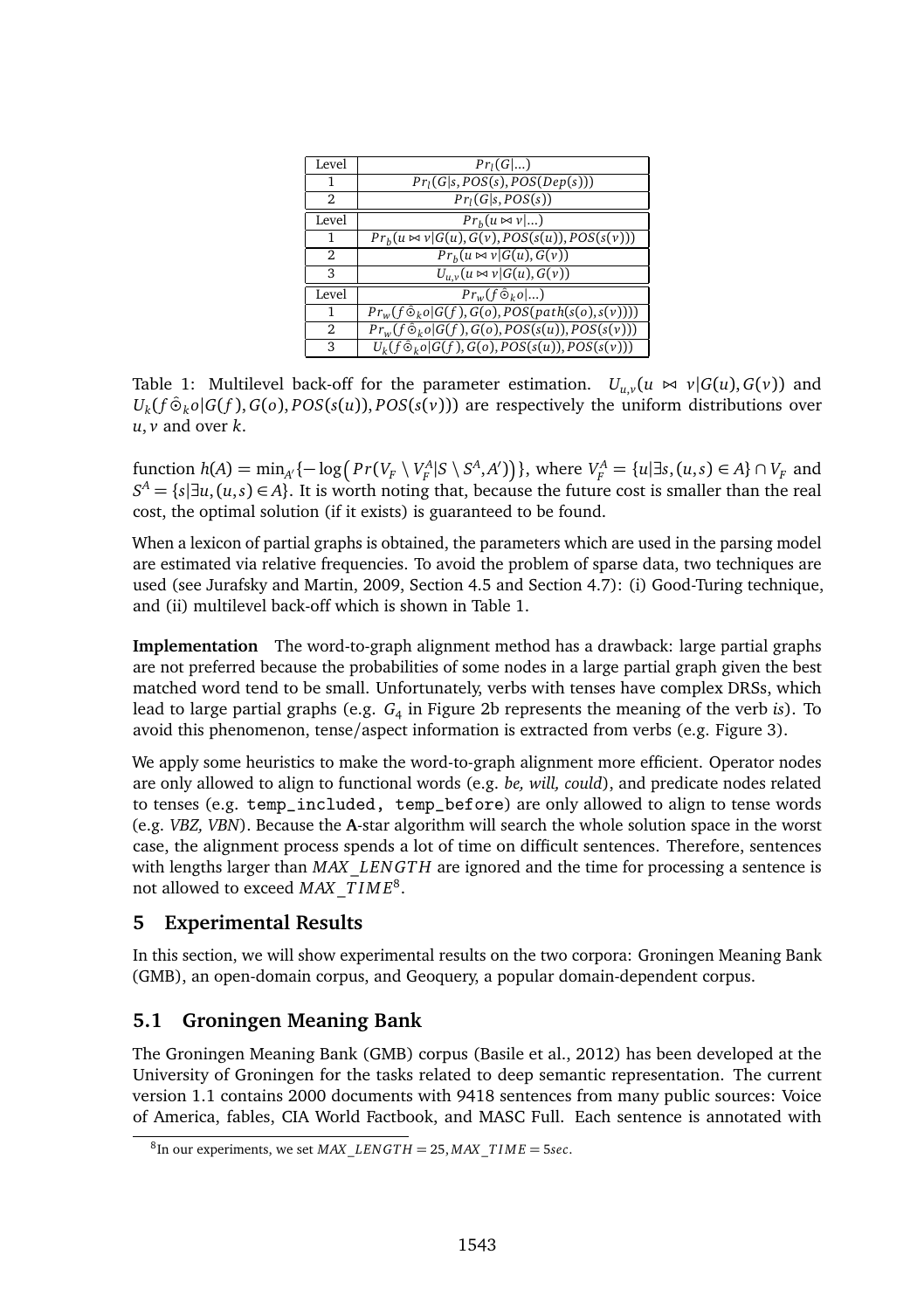| Level          | $Pr_i(G )$                                                              |  |  |
|----------------|-------------------------------------------------------------------------|--|--|
| 1              | $Pr1(G s, POS(s),POS(Dep(s)))$                                          |  |  |
| 2              | Pr <sub>1</sub> (G s, POS(s))                                           |  |  |
| Level          | $Prh(u \bowtie v )$                                                     |  |  |
| 1              | $Pr_b(u \bowtie v   G(u), G(v), POS(s(u)),POS(s(v)))$                   |  |  |
| 2              | $Pr_b(u \bowtie v   G(u), G(v))$                                        |  |  |
| 3              | $U_{u,v}(u \bowtie v G(u), G(v))$                                       |  |  |
| Level          | $Pr_w(f \hat{\Theta}_k o   )$                                           |  |  |
| 1              | $Pr_w(f \hat{\circ}_k o   G(f), G(o), \overline{POS(path(s(o), s(v))))$ |  |  |
| $\overline{2}$ | $Pr_w(f \hat{\circ}_k o   \overline{G(f), G(o), POS(s(u)),POS(s(v)))$   |  |  |
| 3              | $U_k(f \hat{\Theta}_k o   \overline{G(f)}, G(o), POS(s(u)), POS(s(v)))$ |  |  |

Table 1: Multilevel back-off for the parameter estimation.  $U_{\mu\nu}(u \bowtie \nu | G(u), G(\nu))$  and  $U_k(f \hat{\phi}_k o | G(f), G(o), POS(s(u)), POS(s(v)))$  are respectively the uniform distributions over *,*  $*v*$  *and over*  $*k*$ *.* 

function  $h(A) = \min_{A'} \{-\log \left( Pr(V_F \setminus V_F^A | S \setminus S^A, A') \right) \}$ , where  $V_F^A = \{u | \exists s, (u, s) \in A \} \cap V_F$  and  $S^A = \{s | \exists u, (u, s) \in A\}$ . It is worth noting that, because the future cost is smaller than the real cost, the optimal solution (if it exists) is guaranteed to be found.

When a lexicon of partial graphs is obtained, the parameters which are used in the parsing model are estimated via relative frequencies. To avoid the problem of sparse data, two techniques are used (see Jurafsky and Martin, 2009, Section 4.5 and Section 4.7): (i) Good-Turing technique, and (ii) multilevel back-off which is shown in Table 1.

**Implementation** The word-to-graph alignment method has a drawback: large partial graphs are not preferred because the probabilities of some nodes in a large partial graph given the best matched word tend to be small. Unfortunately, verbs with tenses have complex DRSs, which lead to large partial graphs (e.g. *G*<sup>4</sup> in Figure 2b represents the meaning of the verb *is*). To avoid this phenomenon, tense/aspect information is extracted from verbs (e.g. Figure 3).

We apply some heuristics to make the word-to-graph alignment more efficient. Operator nodes are only allowed to align to functional words (e.g. *be, will, could*), and predicate nodes related to tenses (e.g. temp\_included, temp\_before) are only allowed to align to tense words (e.g. *VBZ, VBN*). Because the **A**-star algorithm will search the whole solution space in the worst case, the alignment process spends a lot of time on difficult sentences. Therefore, sentences with lengths larger than *MAX*\_*LEN GT H* are ignored and the time for processing a sentence is not allowed to exceed  $MAX\_TIME^8$ .

### **5 Experimental Results**

In this section, we will show experimental results on the two corpora: Groningen Meaning Bank (GMB), an open-domain corpus, and Geoquery, a popular domain-dependent corpus.

## **5.1 Groningen Meaning Bank**

The Groningen Meaning Bank (GMB) corpus (Basile et al., 2012) has been developed at the University of Groningen for the tasks related to deep semantic representation. The current version 1.1 contains 2000 documents with 9418 sentences from many public sources: Voice of America, fables, CIA World Factbook, and MASC Full. Each sentence is annotated with

<sup>8</sup> In our experiments, we set *MAX*\_*LEN GT H* = 25, *MAX*\_*T I M E* = 5*sec*.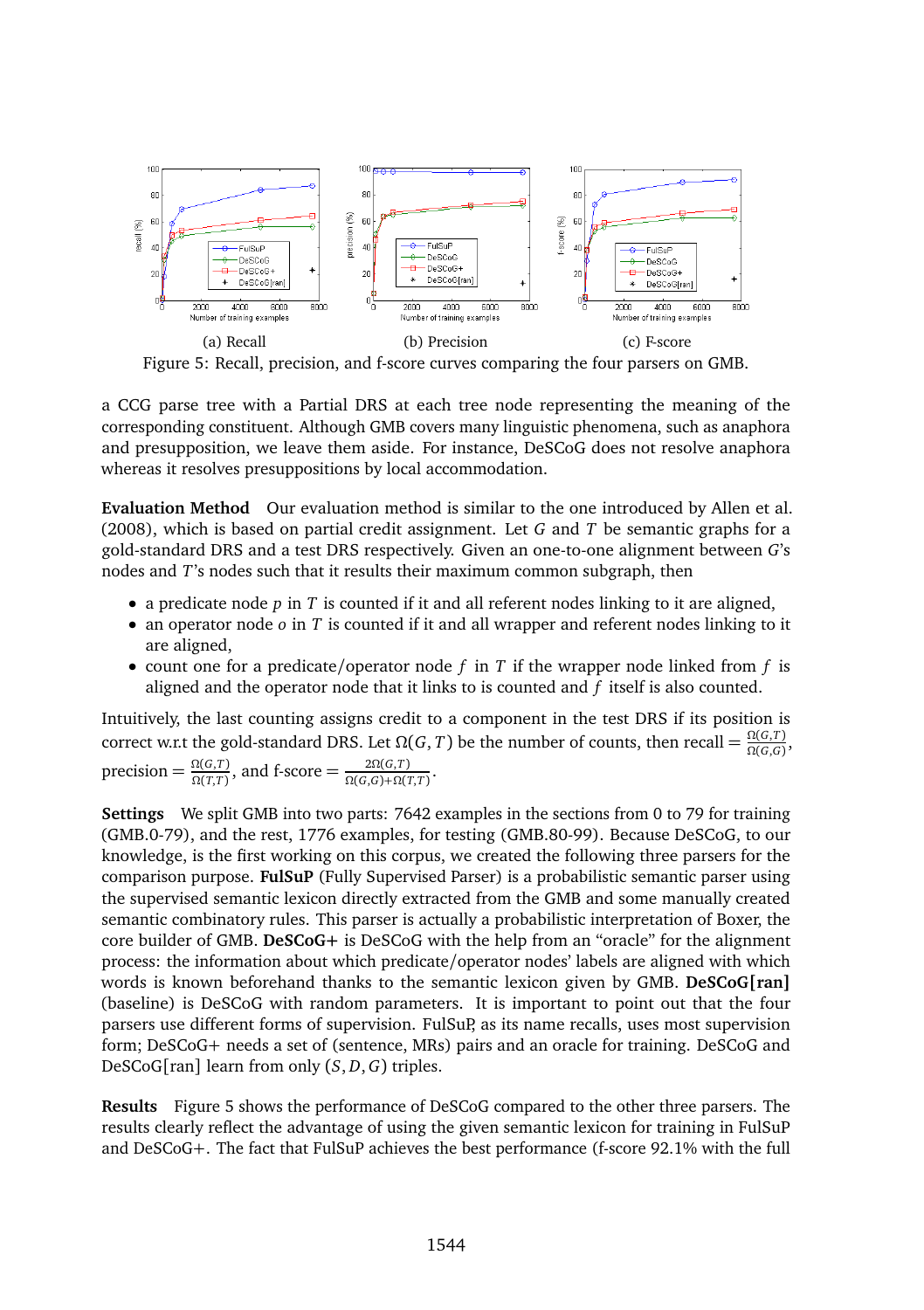

Figure 5: Recall, precision, and f-score curves comparing the four parsers on GMB.

a CCG parse tree with a Partial DRS at each tree node representing the meaning of the corresponding constituent. Although GMB covers many linguistic phenomena, such as anaphora and presupposition, we leave them aside. For instance, DeSCoG does not resolve anaphora whereas it resolves presuppositions by local accommodation.

**Evaluation Method** Our evaluation method is similar to the one introduced by Allen et al. (2008), which is based on partial credit assignment. Let *G* and *T* be semantic graphs for a gold-standard DRS and a test DRS respectively. Given an one-to-one alignment between *G*'s nodes and *T*'s nodes such that it results their maximum common subgraph, then

- a predicate node *p* in *T* is counted if it and all referent nodes linking to it are aligned,
- an operator node *o* in *T* is counted if it and all wrapper and referent nodes linking to it are aligned,
- count one for a predicate/operator node *f* in *T* if the wrapper node linked from *f* is aligned and the operator node that it links to is counted and *f* itself is also counted.

Intuitively, the last counting assigns credit to a component in the test DRS if its position is correct w.r.t the gold-standard DRS. Let  $\Omega(G, T)$  be the number of counts, then recall =  $\frac{\Omega(G, T)}{\Omega(G, G)}$ ,  $\text{precision} = \frac{\Omega(G,T)}{\Omega(T,T)}$ , and  $\text{f-score} = \frac{2\Omega(G,T)}{\Omega(G,G)+\Omega(T,T)}$ .

**Settings** We split GMB into two parts: 7642 examples in the sections from 0 to 79 for training (GMB.0-79), and the rest, 1776 examples, for testing (GMB.80-99). Because DeSCoG, to our knowledge, is the first working on this corpus, we created the following three parsers for the comparison purpose. **FulSuP** (Fully Supervised Parser) is a probabilistic semantic parser using the supervised semantic lexicon directly extracted from the GMB and some manually created semantic combinatory rules. This parser is actually a probabilistic interpretation of Boxer, the core builder of GMB. **DeSCoG+** is DeSCoG with the help from an "oracle" for the alignment process: the information about which predicate/operator nodes' labels are aligned with which words is known beforehand thanks to the semantic lexicon given by GMB. **DeSCoG[ran]** (baseline) is DeSCoG with random parameters. It is important to point out that the four parsers use different forms of supervision. FulSuP, as its name recalls, uses most supervision form; DeSCoG+ needs a set of (sentence, MRs) pairs and an oracle for training. DeSCoG and DeSCoG[ran] learn from only (*S*, *D*,*G*) triples.

**Results** Figure 5 shows the performance of DeSCoG compared to the other three parsers. The results clearly reflect the advantage of using the given semantic lexicon for training in FulSuP and DeSCoG+. The fact that FulSuP achieves the best performance (f-score 92.1% with the full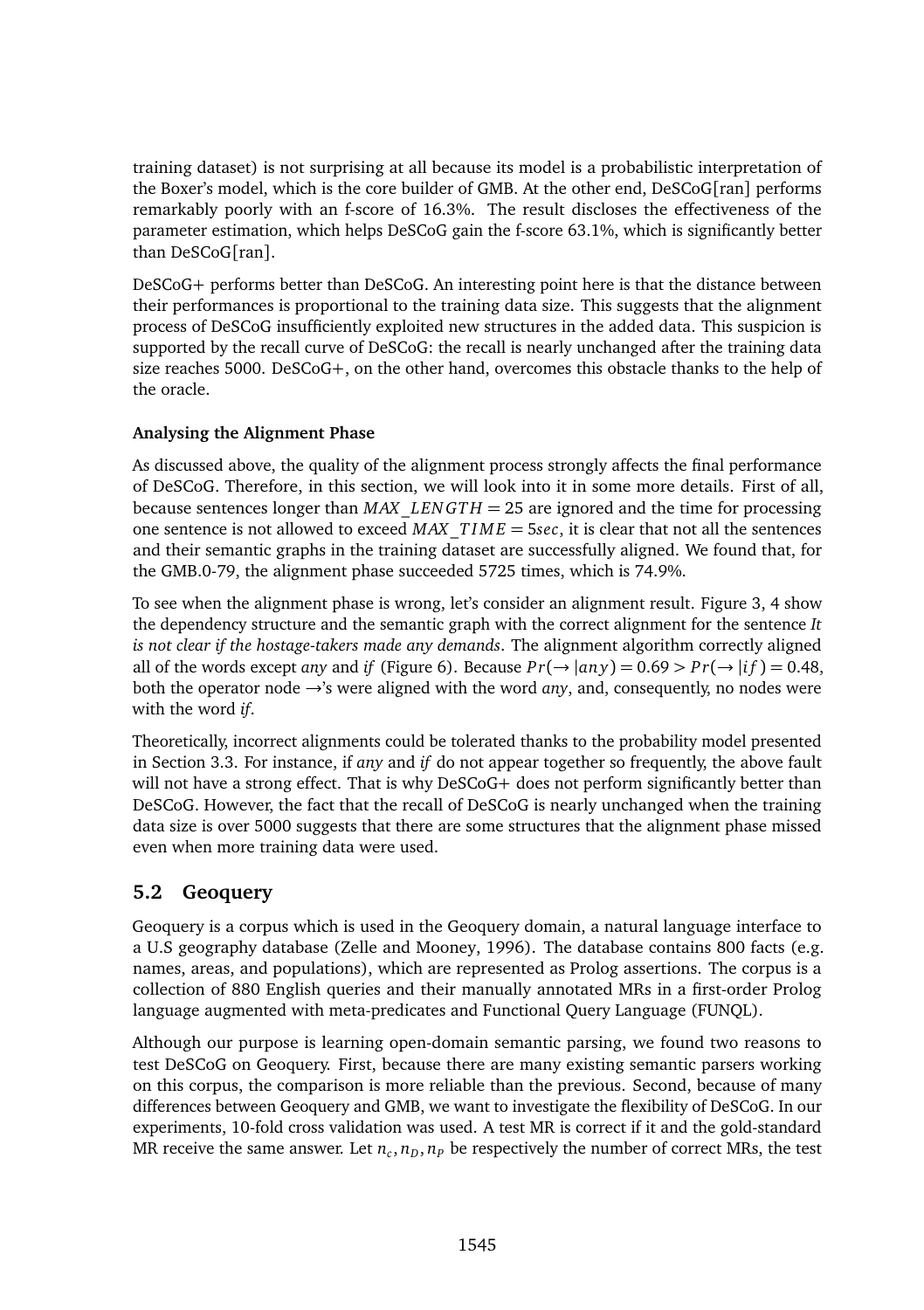training dataset) is not surprising at all because its model is a probabilistic interpretation of the Boxer's model, which is the core builder of GMB. At the other end, DeSCoG[ran] performs remarkably poorly with an f-score of 16.3%. The result discloses the effectiveness of the parameter estimation, which helps DeSCoG gain the f-score 63.1%, which is significantly better than DeSCoG[ran].

DeSCoG+ performs better than DeSCoG. An interesting point here is that the distance between their performances is proportional to the training data size. This suggests that the alignment process of DeSCoG insufficiently exploited new structures in the added data. This suspicion is supported by the recall curve of DeSCoG: the recall is nearly unchanged after the training data size reaches 5000. DeSCoG+, on the other hand, overcomes this obstacle thanks to the help of the oracle.

#### **Analysing the Alignment Phase**

As discussed above, the quality of the alignment process strongly affects the final performance of DeSCoG. Therefore, in this section, we will look into it in some more details. First of all, because sentences longer than *MAX*\_*LEN GT H* = 25 are ignored and the time for processing one sentence is not allowed to exceed *MAX*\_*T I M E* = 5*sec*, it is clear that not all the sentences and their semantic graphs in the training dataset are successfully aligned. We found that, for the GMB.0-79, the alignment phase succeeded 5725 times, which is 74.9%.

To see when the alignment phase is wrong, let's consider an alignment result. Figure 3, 4 show the dependency structure and the semantic graph with the correct alignment for the sentence *It is not clear if the hostage-takers made any demands*. The alignment algorithm correctly aligned all of the words except *any* and *if* (Figure 6). Because  $Pr(\rightarrow |a n v) = 0.69 > Pr(\rightarrow |f f) = 0.48$ . both the operator node →'s were aligned with the word *any*, and, consequently, no nodes were with the word *if*.

Theoretically, incorrect alignments could be tolerated thanks to the probability model presented in Section 3.3. For instance, if *any* and *if* do not appear together so frequently, the above fault will not have a strong effect. That is why DeSCoG+ does not perform significantly better than DeSCoG. However, the fact that the recall of DeSCoG is nearly unchanged when the training data size is over 5000 suggests that there are some structures that the alignment phase missed even when more training data were used.

## **5.2 Geoquery**

Geoquery is a corpus which is used in the Geoquery domain, a natural language interface to a U.S geography database (Zelle and Mooney, 1996). The database contains 800 facts (e.g. names, areas, and populations), which are represented as Prolog assertions. The corpus is a collection of 880 English queries and their manually annotated MRs in a first-order Prolog language augmented with meta-predicates and Functional Query Language (FUNQL).

Although our purpose is learning open-domain semantic parsing, we found two reasons to test DeSCoG on Geoquery. First, because there are many existing semantic parsers working on this corpus, the comparison is more reliable than the previous. Second, because of many differences between Geoquery and GMB, we want to investigate the flexibility of DeSCoG. In our experiments, 10-fold cross validation was used. A test MR is correct if it and the gold-standard MR receive the same answer. Let  $n_c$ ,  $n_D$ ,  $n_p$  be respectively the number of correct MRs, the test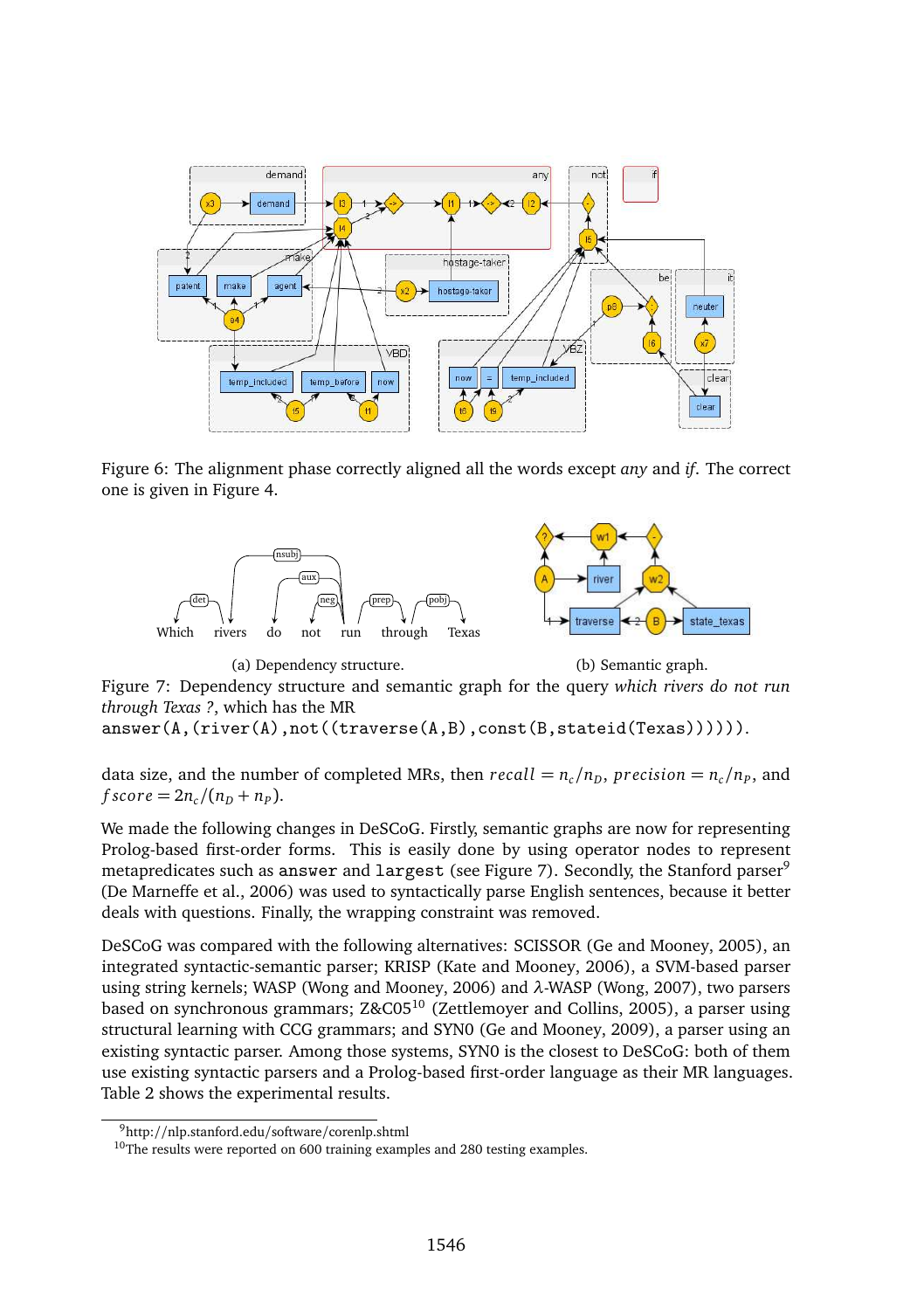

Figure 6: The alignment phase correctly aligned all the words except *any* and *if*. The correct one is given in Figure 4.



(a) Dependency structure. (b) Semantic graph.

Figure 7: Dependency structure and semantic graph for the query *which rivers do not run through Texas ?*, which has the MR

answer(A,(river(A),not((traverse(A,B),const(B,stateid(Texas)))))).

data size, and the number of completed MRs, then  $recall = n_c/n_D$ ,  $precision = n_c/n_P$ , and *f score* =  $2n_c/(n_p + n_p)$ .

We made the following changes in DeSCoG. Firstly, semantic graphs are now for representing Prolog-based first-order forms. This is easily done by using operator nodes to represent metapredicates such as answer and largest (see Figure 7). Secondly, the Stanford parser<sup>9</sup> (De Marneffe et al., 2006) was used to syntactically parse English sentences, because it better deals with questions. Finally, the wrapping constraint was removed.

DeSCoG was compared with the following alternatives: SCISSOR (Ge and Mooney, 2005), an integrated syntactic-semantic parser; KRISP (Kate and Mooney, 2006), a SVM-based parser using string kernels; WASP (Wong and Mooney, 2006) and *λ*-WASP (Wong, 2007), two parsers based on synchronous grammars; Z&C05<sup>10</sup> (Zettlemoyer and Collins, 2005), a parser using structural learning with CCG grammars; and SYN0 (Ge and Mooney, 2009), a parser using an existing syntactic parser. Among those systems, SYN0 is the closest to DeSCoG: both of them use existing syntactic parsers and a Prolog-based first-order language as their MR languages. Table 2 shows the experimental results.

<sup>9</sup>http://nlp.stanford.edu/software/corenlp.shtml

 $10$ The results were reported on 600 training examples and 280 testing examples.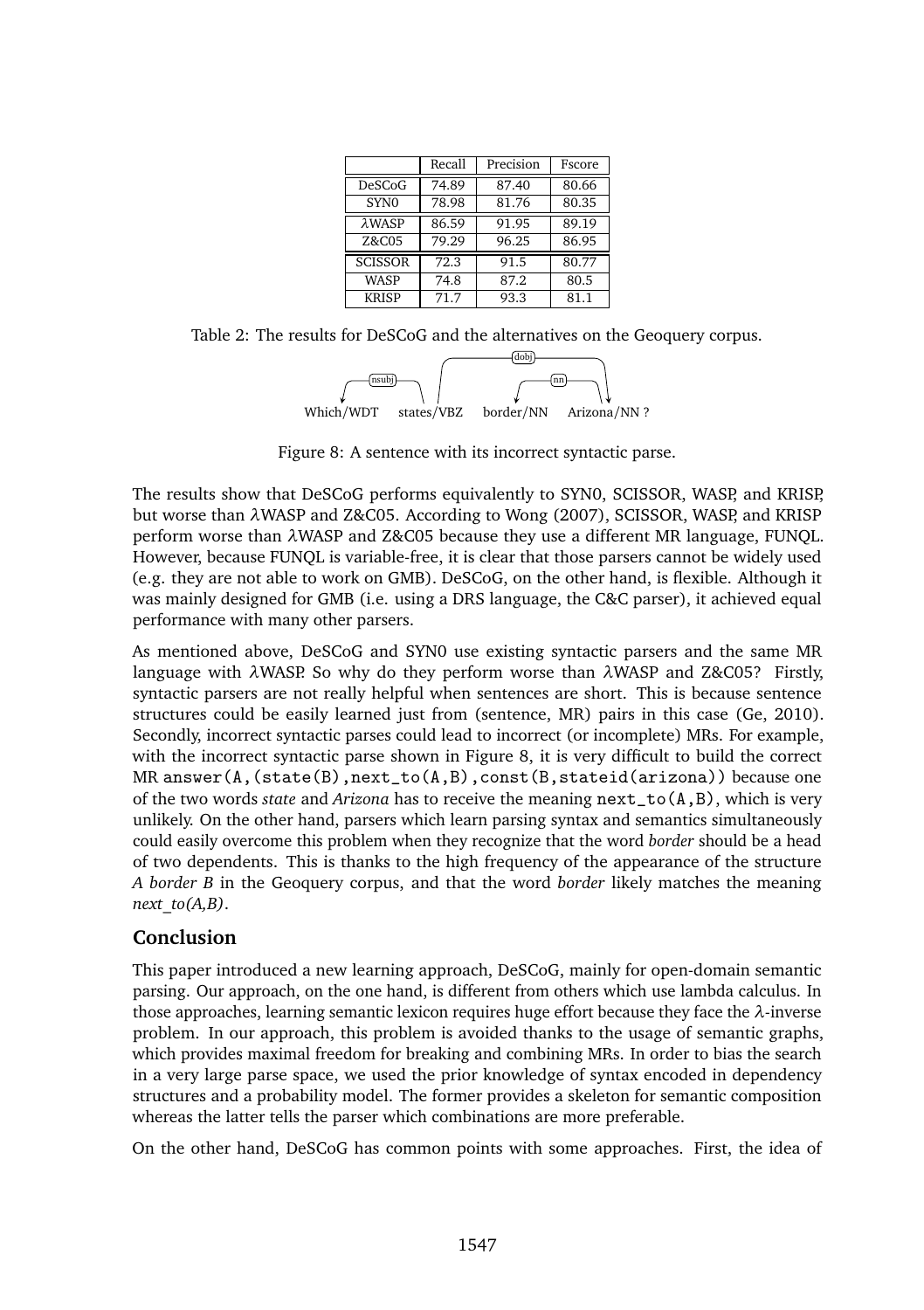|                   | Recall | Precision | Fscore |
|-------------------|--------|-----------|--------|
| DeSCoG            | 74.89  | 87.40     | 80.66  |
| SYN <sub>0</sub>  | 78.98  | 81.76     | 80.35  |
| λWAS <sub>P</sub> | 86.59  | 91.95     | 89.19  |
| Z&C05             | 79.29  | 96.25     | 86.95  |
| <b>SCISSOR</b>    | 72.3   | 91.5      | 80.77  |
| WASP              | 74.8   | 87.2      | 80.5   |
| <b>KRISP</b>      | 71.7   | 93.3      | 81.1   |

Table 2: The results for DeSCoG and the alternatives on the Geoquery corpus.



Figure 8: A sentence with its incorrect syntactic parse.

The results show that DeSCoG performs equivalently to SYN0, SCISSOR, WASP, and KRISP, but worse than *λ*WASP and Z&C05. According to Wong (2007), SCISSOR, WASP, and KRISP perform worse than *λ*WASP and Z&C05 because they use a different MR language, FUNQL. However, because FUNQL is variable-free, it is clear that those parsers cannot be widely used (e.g. they are not able to work on GMB). DeSCoG, on the other hand, is flexible. Although it was mainly designed for GMB (i.e. using a DRS language, the C&C parser), it achieved equal performance with many other parsers.

As mentioned above, DeSCoG and SYN0 use existing syntactic parsers and the same MR language with *λ*WASP. So why do they perform worse than *λ*WASP and Z&C05? Firstly, syntactic parsers are not really helpful when sentences are short. This is because sentence structures could be easily learned just from (sentence, MR) pairs in this case (Ge, 2010). Secondly, incorrect syntactic parses could lead to incorrect (or incomplete) MRs. For example, with the incorrect syntactic parse shown in Figure 8, it is very difficult to build the correct MR answer( $A$ , (state( $B$ ), next\_to( $A$ , $B$ ), const( $B$ , stateid(arizona)) because one of the two words *state* and *Arizona* has to receive the meaning next\_to(A,B), which is very unlikely. On the other hand, parsers which learn parsing syntax and semantics simultaneously could easily overcome this problem when they recognize that the word *border* should be a head of two dependents. This is thanks to the high frequency of the appearance of the structure *A border B* in the Geoquery corpus, and that the word *border* likely matches the meaning *next\_to(A,B)*.

### **Conclusion**

This paper introduced a new learning approach, DeSCoG, mainly for open-domain semantic parsing. Our approach, on the one hand, is different from others which use lambda calculus. In those approaches, learning semantic lexicon requires huge effort because they face the *λ*-inverse problem. In our approach, this problem is avoided thanks to the usage of semantic graphs, which provides maximal freedom for breaking and combining MRs. In order to bias the search in a very large parse space, we used the prior knowledge of syntax encoded in dependency structures and a probability model. The former provides a skeleton for semantic composition whereas the latter tells the parser which combinations are more preferable.

On the other hand, DeSCoG has common points with some approaches. First, the idea of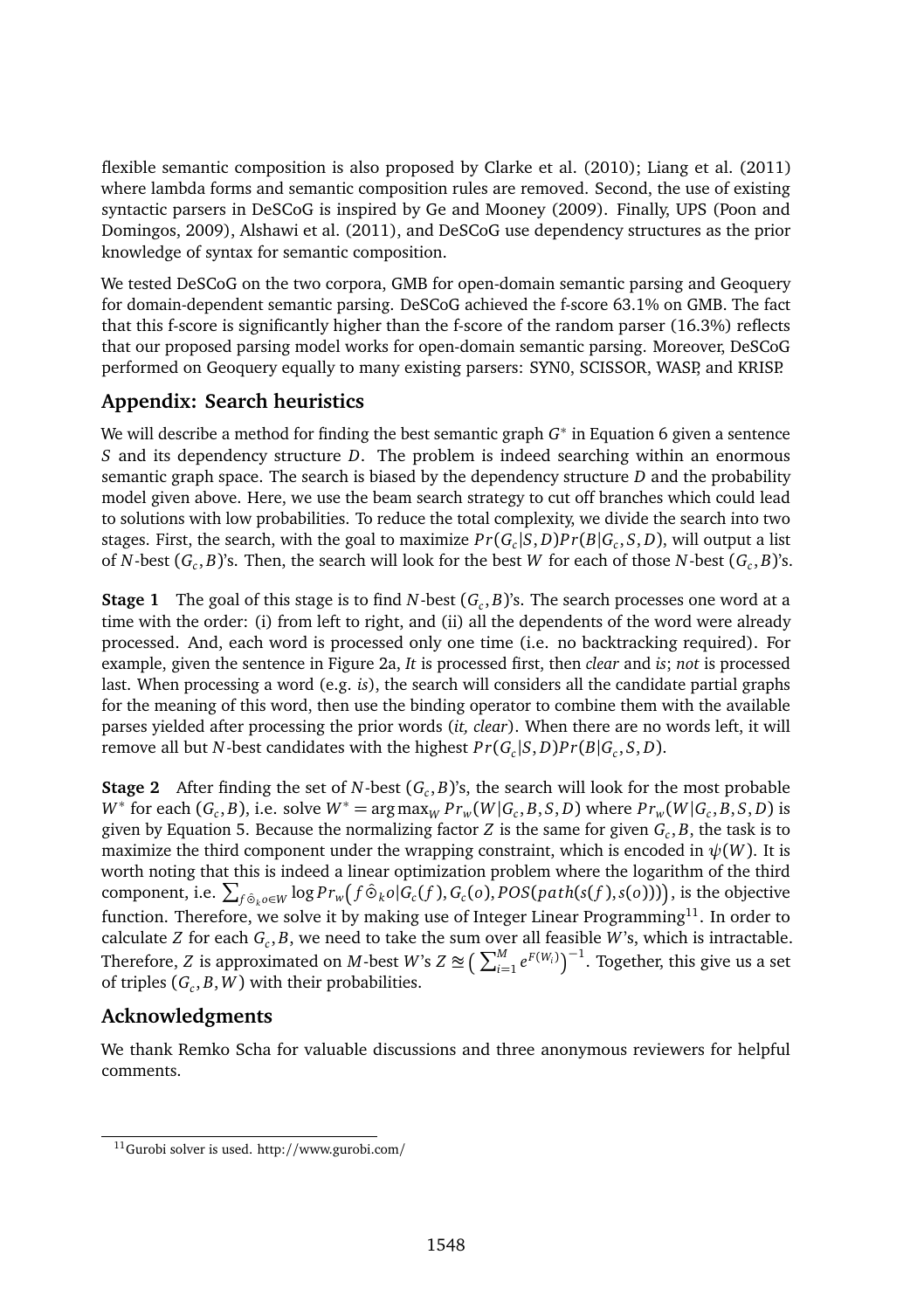flexible semantic composition is also proposed by Clarke et al. (2010); Liang et al. (2011) where lambda forms and semantic composition rules are removed. Second, the use of existing syntactic parsers in DeSCoG is inspired by Ge and Mooney (2009). Finally, UPS (Poon and Domingos, 2009), Alshawi et al. (2011), and DeSCoG use dependency structures as the prior knowledge of syntax for semantic composition.

We tested DeSCoG on the two corpora, GMB for open-domain semantic parsing and Geoquery for domain-dependent semantic parsing. DeSCoG achieved the f-score 63.1% on GMB. The fact that this f-score is significantly higher than the f-score of the random parser (16.3%) reflects that our proposed parsing model works for open-domain semantic parsing. Moreover, DeSCoG performed on Geoquery equally to many existing parsers: SYN0, SCISSOR, WASP, and KRISP.

# **Appendix: Search heuristics**

We will describe a method for finding the best semantic graph *G* ∗ in Equation 6 given a sentence *S* and its dependency structure *D*. The problem is indeed searching within an enormous semantic graph space. The search is biased by the dependency structure *D* and the probability model given above. Here, we use the beam search strategy to cut off branches which could lead to solutions with low probabilities. To reduce the total complexity, we divide the search into two stages. First, the search, with the goal to maximize  $Pr(G_c|S, D)Pr(B|G_c, S, D)$ , will output a list of *N*-best (*G<sup>c</sup>* , *B*)'s. Then, the search will look for the best *W* for each of those *N*-best (*G<sup>c</sup>* , *B*)'s.

**Stage 1** The goal of this stage is to find *N*-best (*G<sup>c</sup>* , *B*)'s. The search processes one word at a time with the order: (i) from left to right, and (ii) all the dependents of the word were already processed. And, each word is processed only one time (i.e. no backtracking required). For example, given the sentence in Figure 2a, *It* is processed first, then *clear* and *is*; *not* is processed last. When processing a word (e.g. *is*), the search will considers all the candidate partial graphs for the meaning of this word, then use the binding operator to combine them with the available parses yielded after processing the prior words (*it, clear*). When there are no words left, it will remove all but *N*-best candidates with the highest  $Pr(G_c|S,D)Pr(B|G_c,S,D)$ .

**Stage 2** After finding the set of *N*-best (*G<sup>c</sup>* , *B*)'s, the search will look for the most probable  $W^*$  for each  $(G_c, B)$ , i.e. solve  $W^* = \arg \max_W Pr_w(W|G_c, B, S, D)$  where  $Pr_w(W|G_c, B, S, D)$  is given by Equation 5. Because the normalizing factor *Z* is the same for given *G<sup>c</sup>* , *B*, the task is to maximize the third component under the wrapping constraint, which is encoded in  $\psi(W)$ . It is worth noting that this is indeed a linear optimization problem where the logarithm of the third component, i.e.  $\sum_{f \hat{\circ}_k o \in W} \log Pr_w(f \hat{\circ}_k o | G_c(f), G_c(o), POS(path(s(f), s(o))))$ , is the objective function. Therefore, we solve it by making use of Integer Linear Programming $^{11}$ . In order to calculate *Z* for each *G<sup>c</sup>* , *B*, we need to take the sum over all feasible *W*'s, which is intractable. Therefore, *Z* is approximated on *M*-best *W*'s  $Z \cong \left(\sum_{i=1}^{M} e^{F(W_i)}\right)^{-1}$ . Together, this give us a set of triples (*G<sup>c</sup>* , *B*,*W*) with their probabilities.

## **Acknowledgments**

We thank Remko Scha for valuable discussions and three anonymous reviewers for helpful comments.

<sup>11</sup>Gurobi solver is used. http://www.gurobi.com/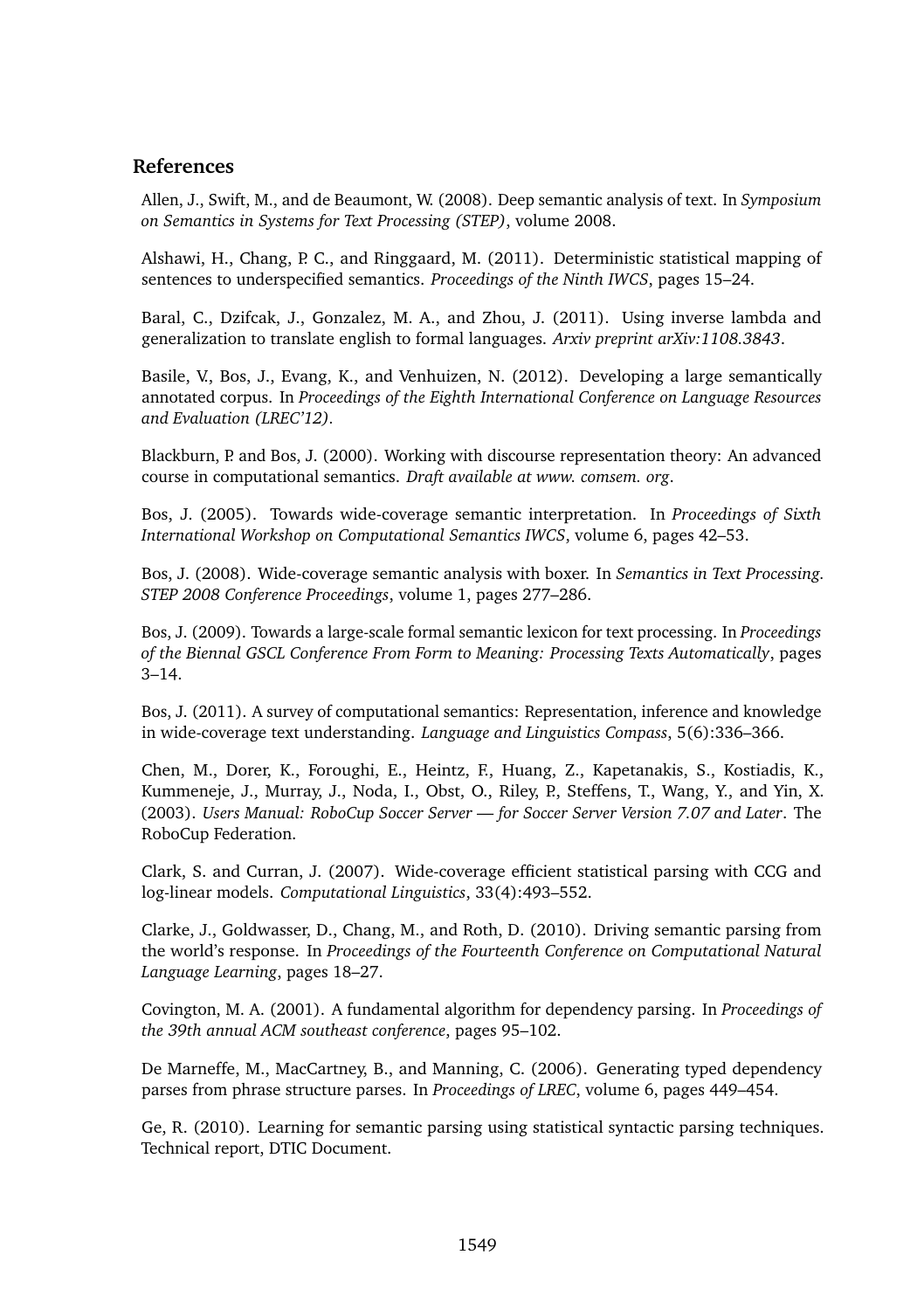## **References**

Allen, J., Swift, M., and de Beaumont, W. (2008). Deep semantic analysis of text. In *Symposium on Semantics in Systems for Text Processing (STEP)*, volume 2008.

Alshawi, H., Chang, P. C., and Ringgaard, M. (2011). Deterministic statistical mapping of sentences to underspecified semantics. *Proceedings of the Ninth IWCS*, pages 15–24.

Baral, C., Dzifcak, J., Gonzalez, M. A., and Zhou, J. (2011). Using inverse lambda and generalization to translate english to formal languages. *Arxiv preprint arXiv:1108.3843*.

Basile, V., Bos, J., Evang, K., and Venhuizen, N. (2012). Developing a large semantically annotated corpus. In *Proceedings of the Eighth International Conference on Language Resources and Evaluation (LREC'12).*

Blackburn, P. and Bos, J. (2000). Working with discourse representation theory: An advanced course in computational semantics. *Draft available at www. comsem. org*.

Bos, J. (2005). Towards wide-coverage semantic interpretation. In *Proceedings of Sixth International Workshop on Computational Semantics IWCS*, volume 6, pages 42–53.

Bos, J. (2008). Wide-coverage semantic analysis with boxer. In *Semantics in Text Processing. STEP 2008 Conference Proceedings*, volume 1, pages 277–286.

Bos, J. (2009). Towards a large-scale formal semantic lexicon for text processing. In *Proceedings of the Biennal GSCL Conference From Form to Meaning: Processing Texts Automatically*, pages 3–14.

Bos, J. (2011). A survey of computational semantics: Representation, inference and knowledge in wide-coverage text understanding. *Language and Linguistics Compass*, 5(6):336–366.

Chen, M., Dorer, K., Foroughi, E., Heintz, F., Huang, Z., Kapetanakis, S., Kostiadis, K., Kummeneje, J., Murray, J., Noda, I., Obst, O., Riley, P., Steffens, T., Wang, Y., and Yin, X. (2003). *Users Manual: RoboCup Soccer Server — for Soccer Server Version 7.07 and Later*. The RoboCup Federation.

Clark, S. and Curran, J. (2007). Wide-coverage efficient statistical parsing with CCG and log-linear models. *Computational Linguistics*, 33(4):493–552.

Clarke, J., Goldwasser, D., Chang, M., and Roth, D. (2010). Driving semantic parsing from the world's response. In *Proceedings of the Fourteenth Conference on Computational Natural Language Learning*, pages 18–27.

Covington, M. A. (2001). A fundamental algorithm for dependency parsing. In *Proceedings of the 39th annual ACM southeast conference*, pages 95–102.

De Marneffe, M., MacCartney, B., and Manning, C. (2006). Generating typed dependency parses from phrase structure parses. In *Proceedings of LREC*, volume 6, pages 449–454.

Ge, R. (2010). Learning for semantic parsing using statistical syntactic parsing techniques. Technical report, DTIC Document.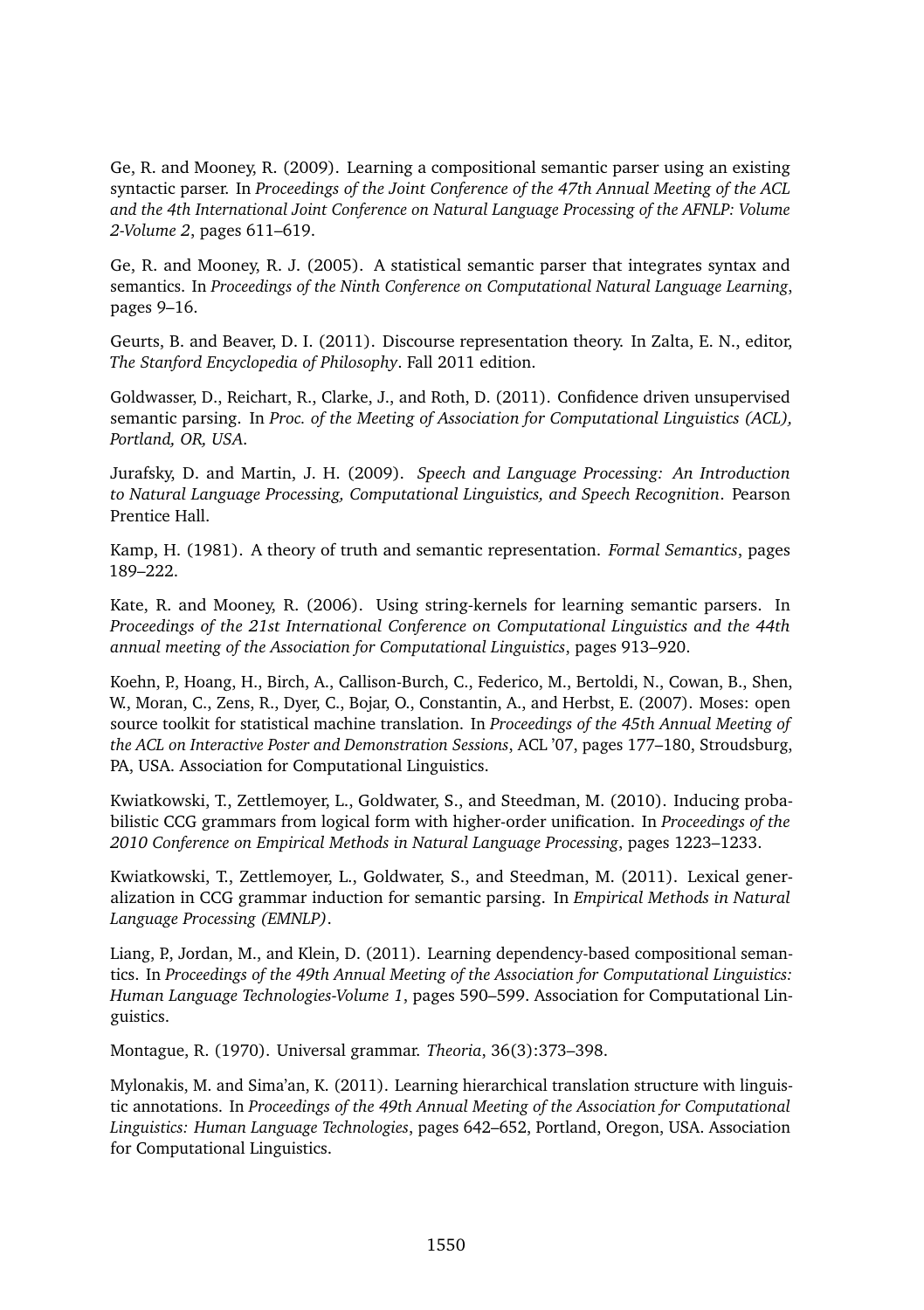Ge, R. and Mooney, R. (2009). Learning a compositional semantic parser using an existing syntactic parser. In *Proceedings of the Joint Conference of the 47th Annual Meeting of the ACL and the 4th International Joint Conference on Natural Language Processing of the AFNLP: Volume 2-Volume 2*, pages 611–619.

Ge, R. and Mooney, R. J. (2005). A statistical semantic parser that integrates syntax and semantics. In *Proceedings of the Ninth Conference on Computational Natural Language Learning*, pages 9–16.

Geurts, B. and Beaver, D. I. (2011). Discourse representation theory. In Zalta, E. N., editor, *The Stanford Encyclopedia of Philosophy*. Fall 2011 edition.

Goldwasser, D., Reichart, R., Clarke, J., and Roth, D. (2011). Confidence driven unsupervised semantic parsing. In *Proc. of the Meeting of Association for Computational Linguistics (ACL), Portland, OR, USA*.

Jurafsky, D. and Martin, J. H. (2009). *Speech and Language Processing: An Introduction to Natural Language Processing, Computational Linguistics, and Speech Recognition*. Pearson Prentice Hall.

Kamp, H. (1981). A theory of truth and semantic representation. *Formal Semantics*, pages 189–222.

Kate, R. and Mooney, R. (2006). Using string-kernels for learning semantic parsers. In *Proceedings of the 21st International Conference on Computational Linguistics and the 44th annual meeting of the Association for Computational Linguistics*, pages 913–920.

Koehn, P., Hoang, H., Birch, A., Callison-Burch, C., Federico, M., Bertoldi, N., Cowan, B., Shen, W., Moran, C., Zens, R., Dyer, C., Bojar, O., Constantin, A., and Herbst, E. (2007). Moses: open source toolkit for statistical machine translation. In *Proceedings of the 45th Annual Meeting of the ACL on Interactive Poster and Demonstration Sessions*, ACL '07, pages 177–180, Stroudsburg, PA, USA. Association for Computational Linguistics.

Kwiatkowski, T., Zettlemoyer, L., Goldwater, S., and Steedman, M. (2010). Inducing probabilistic CCG grammars from logical form with higher-order unification. In *Proceedings of the 2010 Conference on Empirical Methods in Natural Language Processing*, pages 1223–1233.

Kwiatkowski, T., Zettlemoyer, L., Goldwater, S., and Steedman, M. (2011). Lexical generalization in CCG grammar induction for semantic parsing. In *Empirical Methods in Natural Language Processing (EMNLP)*.

Liang, P., Jordan, M., and Klein, D. (2011). Learning dependency-based compositional semantics. In *Proceedings of the 49th Annual Meeting of the Association for Computational Linguistics: Human Language Technologies-Volume 1*, pages 590–599. Association for Computational Linguistics.

Montague, R. (1970). Universal grammar. *Theoria*, 36(3):373–398.

Mylonakis, M. and Sima'an, K. (2011). Learning hierarchical translation structure with linguistic annotations. In *Proceedings of the 49th Annual Meeting of the Association for Computational Linguistics: Human Language Technologies*, pages 642–652, Portland, Oregon, USA. Association for Computational Linguistics.